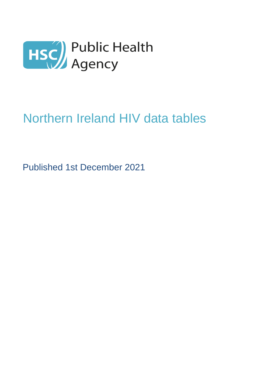

# Northern Ireland HIV data tables

Published 1st December 2021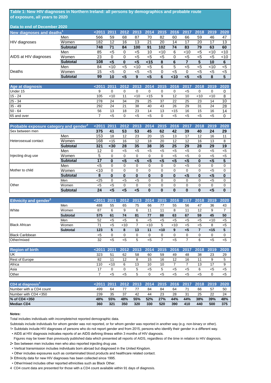#### **Table 1: New HIV diagnoses in Northern Ireland: all persons by demographics and probable route of exposure, all years to 2020**

| Data to end of December 2020          |                 |      |      |      |      |      |           |        |      |      |      |      |
|---------------------------------------|-----------------|------|------|------|------|------|-----------|--------|------|------|------|------|
| New diagnoses and deaths <sup>1</sup> |                 | 2011 | 2011 | 2012 | 2013 | 2014 | 2015 2016 |        | 2017 | 2018 | 2019 | 2020 |
|                                       | Men             | 566  | 59   | 68   | 87   | 70   | 82        | 60     | 66   | 59   | 46   | 47   |
| <b>HIV</b> diagnoses                  | Women           | 182  | 12   | 16   | 13   | 21   | 20        | 14     | 17   | 20   | 17   | 13   |
|                                       | <b>Subtotal</b> | 748  | 71   | 84   | 100  | 91   | 102       | 74     | 83   | 79   | 63   | 60   |
|                                       | Men             | 85   | <5   |      | <5   | 10   | $<$ 10    | 6      | ~10  | <5   | 10   | ~10  |
| AIDS at HIV diagnoses                 | Women           | 23   | 0    |      | <5   | <5   | <5        |        | <5   | <5   | <5   | ~10  |
|                                       | <b>Subtotal</b> | 108  | <5   |      | <5   | $15$ | 8         | 6      |      | 5    | 10   | 6    |
|                                       | Men             | 84   | ~10  | <5   | ~10  | $5$  | 6         | 5      | <5   | <5   | ~10  | $5$  |
| Deaths                                | Women           | 15   | <5   |      | <5   | <5   |           | <5     | 0    | <5   | <5   | <5   |
|                                       | <b>Subtotal</b> | 99   | 10   | <5   | 9    | 5>   | 6         | $<$ 10 | <5   | <5   | 8    | 5    |

| Age at diagnosis |     | $< 2011$ 2011 |    | 2012 2013 2014 |        |    | 2015 2016 2017 |    | 2018 | 2019   | 2020 |
|------------------|-----|---------------|----|----------------|--------|----|----------------|----|------|--------|------|
| Under 15         | 9   |               |    |                |        |    |                | <5 |      |        |      |
| $15 - 24$        | 105 | $<$ 10        |    | <10            | $<$ 15 | 9  | 12             | 10 | <10  | $<$ 10 | 8    |
| $25 - 34$        | 278 | 24            | 34 | 29             | 25     | 37 | 22             | 25 | 23   | 14     | 10   |
| $35 - 49$        | 292 | 24            | 21 | 38             | 40     | 43 | 26             | 29 | 31   | 24     | 28   |
| $50 - 64$        | 56  | 13            | 18 | 23             | 14     | 13 | $<$ 15         | 16 | 15   | 16     | 14   |
| 65 and over      |     | <5            |    | <5             | <5     |    | <5             | <5 | <5   | <5     |      |

| Probable exposure category and gender <sup>2</sup> |                 | 2011   | 2011     | 201   | 2013     | 2014     | 2015     | 2016     | 2017     | 2018     | 2019  | 2020     |
|----------------------------------------------------|-----------------|--------|----------|-------|----------|----------|----------|----------|----------|----------|-------|----------|
| Sex between men                                    |                 | 375    | 41       | 53    | 53       | 45       | 62       | 42       | 39       | 40       | 24    | 29       |
|                                                    | Men             | 153    | 18       | 12    | 23       | 20       | 15       | 13       | 17       | 12       | 16    | 11       |
| Heterosexual contact                               | Women           | 168    | $<$ 15   | 16    | 12       | 18       | 20       | 12       | 12       | 16       | 13    | 8        |
|                                                    | <b>Subtotal</b> | 321    | $30$     | 28    | 35       | 38       | 35       | 25       | 29       | 28       | 29    | 19       |
|                                                    | Men             | 12     | $\Omega$ | $5$   | <5       | $<$ 5    | $5$      | $5$      | $<$ 5    | 0        | $<$ 5 | $<$ 5    |
| Injecting drug use                                 | Women           | 5      | 0        | 0     | 0        | 0        | 0        | $5$      | $5$      | 0        | $5$   | $<$ 5    |
|                                                    | <b>Subtotal</b> | 17     | 0        | <5    | $<$ 5    | <5       | <5       | <5       | <5       | 0        | $5$   | 5        |
|                                                    | Men             | <5     | $\Omega$ | 0     | 0        | 0        | 0        | 0        | $5$      | $\Omega$ | 0     | $\Omega$ |
| Mother to child                                    | Women           | $<$ 10 | $\Omega$ |       | 0        | 0        | 0        | $\Omega$ | $\Omega$ | 0        | $<$ 5 | $\Omega$ |
|                                                    | <b>Subtotal</b> | 8      | 0        | 0     | $\bf{0}$ | 0        | $\bf{0}$ | $\bf{0}$ | <5       | 0        | $5$   | $\bf{0}$ |
|                                                    | Men             | $25$   | $\Omega$ | $<$ 5 | $<$ 5    | $\Omega$ | 0        | 0        | $\Omega$ | $\Omega$ | $<$ 5 | 0        |
| Other                                              | Women           | $5$    | $<$ 5    | O     | 0        | 0        | 0        | 0        | $\Omega$ | $\Omega$ | 0     | $\Omega$ |
|                                                    | <b>Subtotal</b> | 24     | <5       |       | <5       |          | 0        | $\bf{0}$ | 0        | 0        | <5    | $\bf{0}$ |

| <b>Ethnicity and gender</b> <sup>3</sup> |                 |     |       |     |    | <2011 2011 2012 2013 2014 2015 2016 2017 2018 |      |        |     |       | 2019 2020 |       |
|------------------------------------------|-----------------|-----|-------|-----|----|-----------------------------------------------|------|--------|-----|-------|-----------|-------|
|                                          | Men             | 488 | 55    | 65  | 75 | 66                                            | 77   | 55     | 56  | 47    | 36        | 43    |
| White                                    | Women           | 87  | 6     | 9   | 6  |                                               |      | 8      | 11  | 12    | 9         |       |
|                                          | <b>Subtotal</b> | 575 | 61    | 74  | 81 | 77                                            | 88   | 63     | 67  | 59    | 45        | 50    |
|                                          | Men             | 52  | <5    | <5  | 6  | <5                                            | <5   | <5     | <5  | <5    | $10^{-1}$ | $<$ 5 |
| <b>Black African</b>                     | Women           | 71  | $<$ 5 | ~10 |    | $<$ 10                                        | 5    | $<$ 10 | $5$ | $<$ 5 | 8         | $<$ 5 |
|                                          | <b>Subtotal</b> | 123 | 5     | 8   | 13 | 11                                            | $10$ | 9      | <5  |       | $15$      | 5     |
| <b>Black Caribbean</b>                   |                 | <5  |       |     |    |                                               | 0    |        |     | 0     |           |       |
| Other/mixed                              |                 | 32  | <5    | <5  | h  | <5                                            |      | $<$ 5  |     | 6     | <5        | $<$ 5 |

| <b>Region of birth</b> |     |     | <2011 2011 2012 2013 2014 2015 2016 2017 2018 |    |    |    |    |    |    | 2019 | 2020  |
|------------------------|-----|-----|-----------------------------------------------|----|----|----|----|----|----|------|-------|
| <b>IUK</b>             | 323 | 51  | 62                                            | 58 | 60 | 59 | 49 | 48 | 38 | 23   | 29    |
| <b>Rest of Europe</b>  | 82  | 11  | ィっ                                            |    | 15 | 16 | 12 | 16 |    |      | 5     |
| Africa                 | 110 | <10 | ĥ                                             | 13 | 10 | 10 |    |    | 13 |      | 9     |
| Asia                   | 17  |     |                                               | ∽  | <5 | 5  | <5 | <5 |    | <5   | $<$ 5 |
| Other                  |     | <5  | <5                                            |    |    | <5 |    | <5 | <5 |      | $<$ 5 |

| CD4 at diagnosis <sup>4</sup> | $< 2011$ 2011 |     | 2012 2013 2014 2015 2016 2017 2018 2019 |     |     |     |     |     |     |     | 2020 |
|-------------------------------|---------------|-----|-----------------------------------------|-----|-----|-----|-----|-----|-----|-----|------|
| Number with a CD4 count       | 499           | 64  |                                         |     | 84  | 84  | 64  |     | 66  | 57  | 50   |
| Number with CD4 <350          | 239           | 35  | 37                                      | 42  | 44  | 23  | 28  | 31  | 25  | 22  | 24   |
| $%$ of CD4 $<$ 350            | 48%           | 55% | 48%                                     | 55% | 52% | 27% | 44% | 44% | 38% | 39% | 48%  |
| <b>Median CD4</b>             | 360           | 321 | 350                                     | 320 | 330 | 520 | 390 | 410 | 440 | 500 | 375  |

#### **Notes:**

Total includes individuals with incomplete/not reported demographic data.

Subtotals include individuals for whom gender was not reported, or for whom gender was reported in another way (e.g. non-binary or other).

1▪ Subtotals include HIV diagnoses of persons who do not report gender and from 2015, persons who identify their gender in a different way.

▪ AIDS at HIV diagnosis indicates reports of an AIDS defining illness within 3 months of HIV diagnosis.

- Figures may be lower than previously published data which presented all reports of AIDS, regardless of the time in relation to HIV diagnosis. 2▪ Sex between men includes men who also reported injecting drug use.
- Vertical transmission includes individuals born abroad but diagnosed in the United Kingdom.
- Other includes exposures such as contaminated blood products and healthcare related contact.
- 3▪ Ethnicity data for new HIV diagnoses has been collected since 1995.
- Other/mixed includes other reported ethnicities such as Black Other.
- 4 CD4 count data are presented for those with a CD4 count available within 91 days of diagnosis.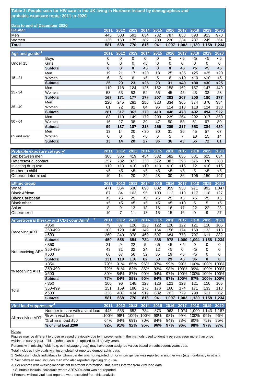#### **Table 2: People seen for HIV care in the UK living in Northern Ireland by demographics and probable exposure route: 2011 to 2020**

| Data to end of December 2020 |     |     |     |     |     |      |                                                   |         |  |
|------------------------------|-----|-----|-----|-----|-----|------|---------------------------------------------------|---------|--|
| <b>Gender</b>                |     |     |     |     |     |      | 2011 2012 2013 2014 2015 2016 2017 2018 2019 2020 |         |  |
| Men                          | 445 | 508 | 591 | 634 | 732 | 787  | 858 893 913 970                                   |         |  |
| Women                        | 136 | 160 | 179 | 182 | 209 | -220 | 224 237                                           | 245 264 |  |
| <b>Total</b>                 | 581 | 668 | 770 |     |     |      | 816 941 1,007 1,082 1,130 1,158 1,234             |         |  |

| Age and gender <sup>1</sup> |                 | 2011 | 2012     | 2013' | 2014  | 2015     | 2016     | 2017   | 2018   | 2019   | 2020  |
|-----------------------------|-----------------|------|----------|-------|-------|----------|----------|--------|--------|--------|-------|
|                             | <b>Boys</b>     | 0    | 0        | 0     | 0     | 0        | 0        | $<$ 5  | <5     | <5     | $<$ 5 |
| Under 15                    | Girls           | 0    | 0        | 0     | <5    | 0        | 0        | 0      | 0      | 0      | 0     |
|                             | <b>Subtotal</b> | 0    | $\bf{0}$ | 0     | $<$ 5 | $\bf{0}$ | $\bf{0}$ | $5$    | $5$    | $5$    | $5$   |
|                             | Men             | 19   | 21       | 17    | 20    | 18       | 25       | $35$   | $<$ 25 | $25$   | $20$  |
| $15 - 24$                   | Women           | 6    | 8        | 6     | <5    | 5        | 6        | $<$ 10 | $<$ 10 | $<$ 10 | $<$ 5 |
|                             | <b>Subtotal</b> | 25   | 29       | 23    | $25$  | 23       | 31       | <40    | $30$   | $30$   | $25$  |
|                             | Men             | 110  | 118      | 124   | 126   | 152      | 158      | 162    | 157    | 147    | 149   |
| $25 - 34$                   | Women           | 53   | 53       | 53    | 52    | 55       | 45       | 45     | 43     | 33     | 28    |
|                             | <b>Subtotal</b> | 163  | 171      | 177   | 178   | 207      | 203      | 207    | 200    | 180    | 177   |
|                             | Men             | 220  | 245      | 281   | 286   | 323      | 334      | 365    | 374    | 370    | 384   |
| $35 - 49$                   | Women           | 61   | 72       | 82    | 84    | 96       | 114      | 113    | 118    | 124    | 138   |
|                             | <b>Subtotal</b> | 281  | 317      | 363   | 370   | 419      | 448      | 478    | 492    | 494    | 522   |
|                             | Men             | 83   | 110      | 149   | 179   | 209      | 239      | 264    | 292    | 317    | 350   |
| $50 - 64$                   | Women           | 16   | 27       | 38    | 39    | 47       | 50       | 53     | 61     | 67     | 80    |
|                             | <b>Subtotal</b> | 99   | 137      | 187   | 218   | 256      | 289      | 317    | 353    | 384    | 430   |
|                             | Men             | 13   | 14       | 20    | $30$  | 30       | 31       | 36     | 45     | 57     | 67    |
| 65 and over                 | Women           | 0    | 0        | 0     | <5    | 6        | 5        | 7      | 10     | 15     | 14    |
|                             | <b>Subtotal</b> | 13   | 14       | 20    | 27    | 36       | 36       | 43     | 55     | 72     | 81    |

| Probable exposure category <sup>2</sup> | 2011  | 2012   | 2013   | 2014   | 2015      | 2016   | 2017   | 2018  | 2019   | 2020   |
|-----------------------------------------|-------|--------|--------|--------|-----------|--------|--------|-------|--------|--------|
| <b>Sex between men</b>                  | 308   | 365    | 419    | 454    | 532       | 582    | 635    | 631   | 625    | 634    |
| Heterosexual contact                    | 257   | 282    | 323    | 330    | 372       | 383    | 396    | 376   | 370    | 388    |
| Injecting drug use                      | <10   | $<$ 10 | $<$ 10 | $<$ 10 | ~10       | $<$ 10 | $<$ 15 | 12    | $<$ 10 | $<$ 15 |
| Mother to child                         | <5    | <5     | <5     | <5     | $<$ 5     | $<$ 5  | $<$ 5  | 5     | $<$ 5  | $<$ 5  |
| Other/undetermined                      | 10    | 14     | 20     | 22     | 28        | 30     | 36     | 106   | 150    | 197    |
|                                         |       |        |        |        |           |        |        |       |        |        |
|                                         |       |        |        |        |           |        |        |       |        |        |
| <b>Ethnic group</b>                     | 2011  | 2012   | 2013   | 2014   | 201<br>15 | 2016   | 2017   | 2018  | 2019   | 2020   |
| White                                   | 471   | 564    | 638    | 690    | 802       | 859    | 933    | 971   | 992    | 1,047  |
| <b>Black African</b>                    | 87    | 84     | 103    | 95     | 103       | 112    | 110    | 117   | 118    | 127    |
| <b>Black Caribbean</b>                  | <5    | <5     | $<$ 5  | $<$ 5  | $<$ 5     | $<$ 5  | $<$ 5  | $<$ 5 | $<$ 5  | $<$ 5  |
| <b>Black other</b>                      | $<$ 5 | $<$ 5  | $<$ 5  | $<$ 5  | $<$ 5     | $<$ 5  | 10     | 5     | 5      | $5$    |
| Asian                                   | 8     | 9      | 13     | 13     | 16        | 16     | 17     | 22    | 22     | 23     |

|                                     | Antiretroviral therapy and CD4 count/mm <sup>3</sup> <sup>3</sup> | 2011 | 2012 | 2013 | 2014 | 2015 | 2016  | 2017  | 2018  | 2019  | 2020     |
|-------------------------------------|-------------------------------------------------------------------|------|------|------|------|------|-------|-------|-------|-------|----------|
|                                     | $350$                                                             | 79   | 87   | 126  | 123  | 122  | 120   | 122   | 121   | 110   | 105      |
| <b>Receiving ART</b>                | 350-499                                                           | 108  | 128  | 148  | 149  | 164  | 156   | 174   | 169   | 133   | 118      |
|                                     | ≥500                                                              | 260  | 340  | 378  | 460  | 597  | 684   | 778   | 797   | 611   | 382      |
|                                     | <b>Subtotal</b>                                                   | 450  | 558  | 654  | 734  | 888  | 978   | 1,080 | 1,094 | 1,158 | 1,234    |
|                                     | <350                                                              | 21   | 9    | 22   | 5    | <5   | <5    | <5    | 0     | 0     | 0        |
| Not receiving ART                   | 350-499                                                           | 43   | 31   | 32   | 24   | 12   | <5    | 0     | <5    | 0     | 0        |
|                                     | ≥500                                                              | 66   | 67   | 56   | 52   | 35   | 19    | $<$ 5 | <5    | 0     | 0        |
|                                     | <b>Subtotal</b>                                                   | 131  | 110  | 116  | 82   | 53   | 29    | $5$   | 36    | 0     | $\bf{0}$ |
|                                     | <350                                                              | 79%  | 91%  | 85%  | 96%  | 97%  | 99%   | 99%   | 100%  | 100%  | 100%     |
| % receiving ART                     | 350-499                                                           | 72%  | 81%  | 82%  | 86%  | 93%  | 98%   | 100%  | 99%   | 100%  | 100%     |
|                                     | ≥500                                                              | 80%  | 84%  | 87%  | 90%  | 94%  | 97%   | 100%  | 100%  | 100%  | 100%     |
|                                     | <b>Subtotal</b>                                                   | 77%  | 84%  | 85%  | 90%  | 94%  | 97%   | 100%  | 97%   | 100%  | 100%     |
|                                     | <350                                                              | 100  | 96   | 148  | 128  | 126  | 121   | 123   | 121   | 110   | 105      |
| Total                               | 350-499                                                           | 151  | 159  | 180  | 173  | 176  | 160   | 174   | 171   | 133   | 118      |
|                                     | ≥500                                                              | 326  | 407  | 434  | 512  | 632  | 703   | 779   | 798   | 611   | 382      |
|                                     | <b>Subtotal</b>                                                   | 581  | 668  | 770  | 816  | 941  | 1.007 | 1,082 | 1,130 | 1,158 | 1,234    |
| Viral load suppression <sup>4</sup> |                                                                   | 2011 | 2012 | 2013 | 2014 | 2015 | 2016  | 2017  | 2018  | 2019  | 2020     |
|                                     | Number in care with a viral load                                  | 448  | 555  | 652  | 734  | 873  | 963   | 1,074 | 1.090 | 1,143 | 1,187    |
| All rocciving ADT                   | % with viral load                                                 | 100% | 99%  | 100% | 100% | 98%  | 98%   | 99%   | 100%  | 99%   | 96%      |

Notes:

All receiving ART

within the survey year. This method has been applied to all survey years. Figures may be different to those released previously due to improvements in the methods used to identify persons seen more than once

% of viral load ≤50 64% 64% 69% 70% 84% 94% 78% 80% 75% 85% **% of viral load ≤200 92% 91% 92% 95% 96% 97% 96% 98% 97% 97%**

Persons with missing fields (e.g. ethnicity/age group) may have been assigned values based on subsequent years data.

Total includes individuals with incomplete/not reported demographic data.

1 Subtotals include individuals for whom gender was not reported, or for whom gender was reported in another way (e.g. non-binary or other).

2 Sex between men includes men who also reported injecting drug use.

3▪ For records with missing/inconsistent treatment information, status was inferred from viral load data.

▪ Subtotals include individuals where ART/CD4 data was not reported.

4 Persons without viral load reported were excluded from this analysis.